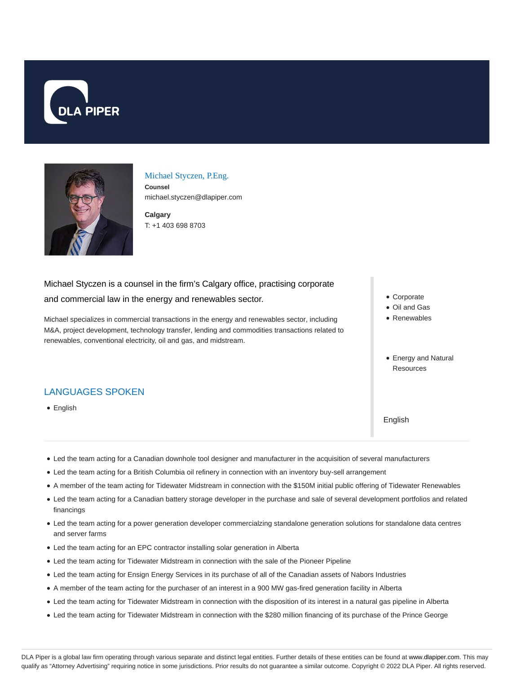



#### Michael Styczen, P.Eng.

**Counsel** michael.styczen@dlapiper.com

**Calgary** T: +1 403 698 8703

# Michael Styczen is a counsel in the firm's Calgary office, practising corporate and commercial law in the energy and renewables sector.

Michael specializes in commercial transactions in the energy and renewables sector, including M&A, project development, technology transfer, lending and commodities transactions related to renewables, conventional electricity, oil and gas, and midstream.

LANGUAGES SPOKEN

• English

- Corporate
- Oil and Gas
- Renewables
- Energy and Natural Resources

English

- Led the team acting for a Canadian downhole tool designer and manufacturer in the acquisition of several manufacturers
- Led the team acting for a British Columbia oil refinery in connection with an inventory buy-sell arrangement
- A member of the team acting for Tidewater Midstream in connection with the \$150M initial public offering of Tidewater Renewables
- Led the team acting for a Canadian battery storage developer in the purchase and sale of several development portfolios and related financings
- Led the team acting for a power generation developer commercialzing standalone generation solutions for standalone data centres and server farms
- Led the team acting for an EPC contractor installing solar generation in Alberta
- Led the team acting for Tidewater Midstream in connection with the sale of the Pioneer Pipeline
- Led the team acting for Ensign Energy Services in its purchase of all of the Canadian assets of Nabors Industries
- A member of the team acting for the purchaser of an interest in a 900 MW gas-fired generation facility in Alberta
- Led the team acting for Tidewater Midstream in connection with the disposition of its interest in a natural gas pipeline in Alberta
- Led the team acting for Tidewater Midstream in connection with the \$280 million financing of its purchase of the Prince George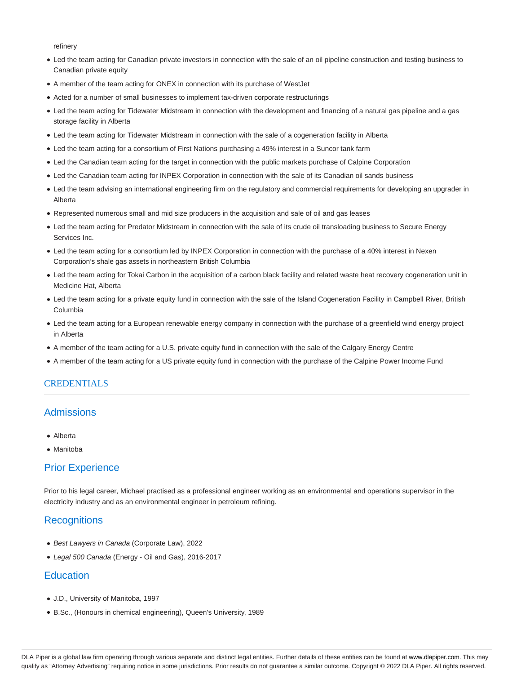refinery

- Led the team acting for Canadian private investors in connection with the sale of an oil pipeline construction and testing business to Canadian private equity
- A member of the team acting for ONEX in connection with its purchase of WestJet
- Acted for a number of small businesses to implement tax-driven corporate restructurings
- Led the team acting for Tidewater Midstream in connection with the development and financing of a natural gas pipeline and a gas storage facility in Alberta
- Led the team acting for Tidewater Midstream in connection with the sale of a cogeneration facility in Alberta
- Led the team acting for a consortium of First Nations purchasing a 49% interest in a Suncor tank farm
- Led the Canadian team acting for the target in connection with the public markets purchase of Calpine Corporation
- Led the Canadian team acting for INPEX Corporation in connection with the sale of its Canadian oil sands business
- Led the team advising an international engineering firm on the regulatory and commercial requirements for developing an upgrader in Alberta
- Represented numerous small and mid size producers in the acquisition and sale of oil and gas leases
- Led the team acting for Predator Midstream in connection with the sale of its crude oil transloading business to Secure Energy Services Inc.
- Led the team acting for a consortium led by INPEX Corporation in connection with the purchase of a 40% interest in Nexen Corporation's shale gas assets in northeastern British Columbia
- Led the team acting for Tokai Carbon in the acquisition of a carbon black facility and related waste heat recovery cogeneration unit in Medicine Hat, Alberta
- Led the team acting for a private equity fund in connection with the sale of the Island Cogeneration Facility in Campbell River, British Columbia
- Led the team acting for a European renewable energy company in connection with the purchase of a greenfield wind energy project in Alberta
- A member of the team acting for a U.S. private equity fund in connection with the sale of the Calgary Energy Centre
- A member of the team acting for a US private equity fund in connection with the purchase of the Calpine Power Income Fund

### **CREDENTIALS**

## **Admissions**

- Alberta
- Manitoba

## Prior Experience

Prior to his legal career, Michael practised as a professional engineer working as an environmental and operations supervisor in the electricity industry and as an environmental engineer in petroleum refining.

## **Recognitions**

- Best Lawyers in Canada (Corporate Law), 2022
- Legal 500 Canada (Energy Oil and Gas), 2016-2017

## **Education**

- J.D., University of Manitoba, 1997
- B.Sc., (Honours in chemical engineering), Queen's University, 1989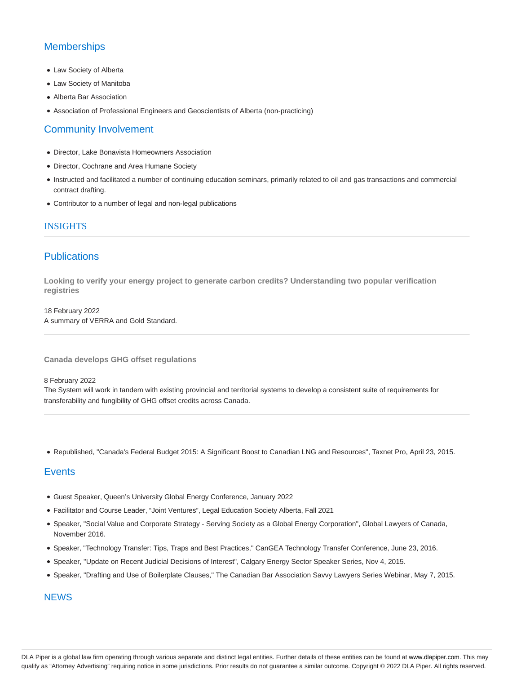## **Memberships**

- Law Society of Alberta
- Law Society of Manitoba
- Alberta Bar Association
- Association of Professional Engineers and Geoscientists of Alberta (non-practicing)

## Community Involvement

- Director, Lake Bonavista Homeowners Association
- Director, Cochrane and Area Humane Society
- Instructed and facilitated a number of continuing education seminars, primarily related to oil and gas transactions and commercial contract drafting.
- Contributor to a number of legal and non-legal publications

### INSIGHTS

## **Publications**

**Looking to verify your energy project to generate carbon credits? Understanding two popular verification registries**

18 February 2022 A summary of VERRA and Gold Standard.

**Canada develops GHG offset regulations**

#### 8 February 2022

The System will work in tandem with existing provincial and territorial systems to develop a consistent suite of requirements for transferability and fungibility of GHG offset credits across Canada.

Republished, "Canada's Federal Budget 2015: A Significant Boost to Canadian LNG and Resources", Taxnet Pro, April 23, 2015.

## **Events**

- Guest Speaker, Queen's University Global Energy Conference, January 2022
- Facilitator and Course Leader, "Joint Ventures", Legal Education Society Alberta, Fall 2021
- Speaker, "Social Value and Corporate Strategy Serving Society as a Global Energy Corporation", Global Lawyers of Canada, November 2016.
- Speaker, "Technology Transfer: Tips, Traps and Best Practices," CanGEA Technology Transfer Conference, June 23, 2016.
- Speaker, "Update on Recent Judicial Decisions of Interest", Calgary Energy Sector Speaker Series, Nov 4, 2015.
- · Speaker, "Drafting and Use of Boilerplate Clauses," The Canadian Bar Association Savvy Lawyers Series Webinar, May 7, 2015.

## **NEWS**

DLA Piper is a global law firm operating through various separate and distinct legal entities. Further details of these entities can be found at www.dlapiper.com. This may qualify as "Attorney Advertising" requiring notice in some jurisdictions. Prior results do not guarantee a similar outcome. Copyright © 2022 DLA Piper. All rights reserved.